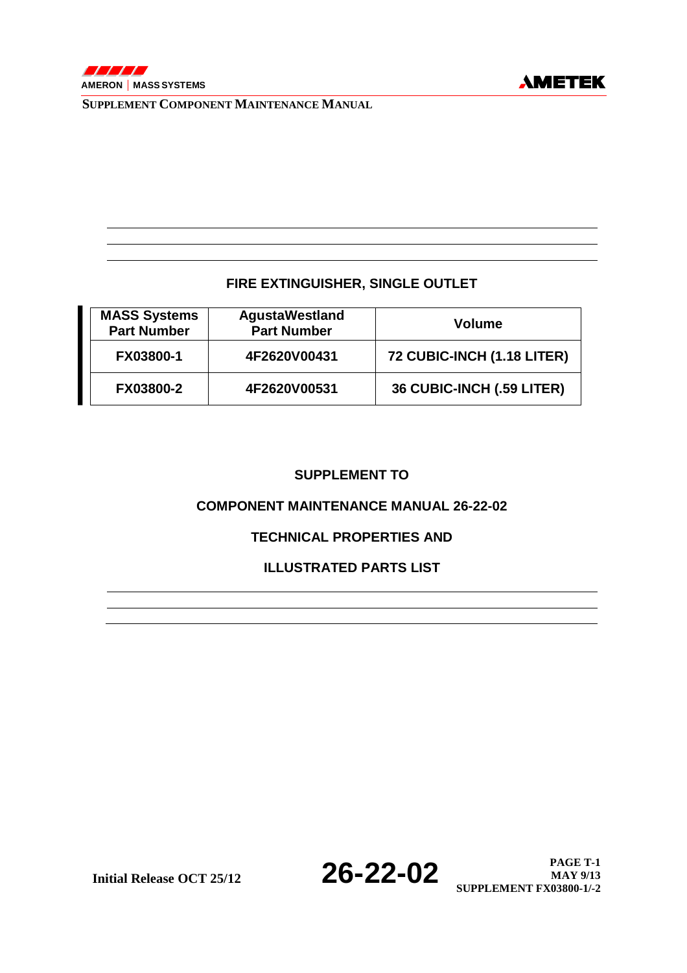### **FIRE EXTINGUISHER, SINGLE OUTLET**

| <b>MASS Systems</b><br><b>Part Number</b> | <b>AgustaWestland</b><br><b>Part Number</b> | <b>Volume</b>              |
|-------------------------------------------|---------------------------------------------|----------------------------|
| FX03800-1                                 | 4F2620V00431                                | 72 CUBIC-INCH (1.18 LITER) |
| FX03800-2                                 | 4F2620V00531                                | 36 CUBIC-INCH (.59 LITER)  |

### **SUPPLEMENT TO**

### **COMPONENT MAINTENANCE MANUAL 26-22-02**

## **TECHNICAL PROPERTIES AND**

### **ILLUSTRATED PARTS LIST**

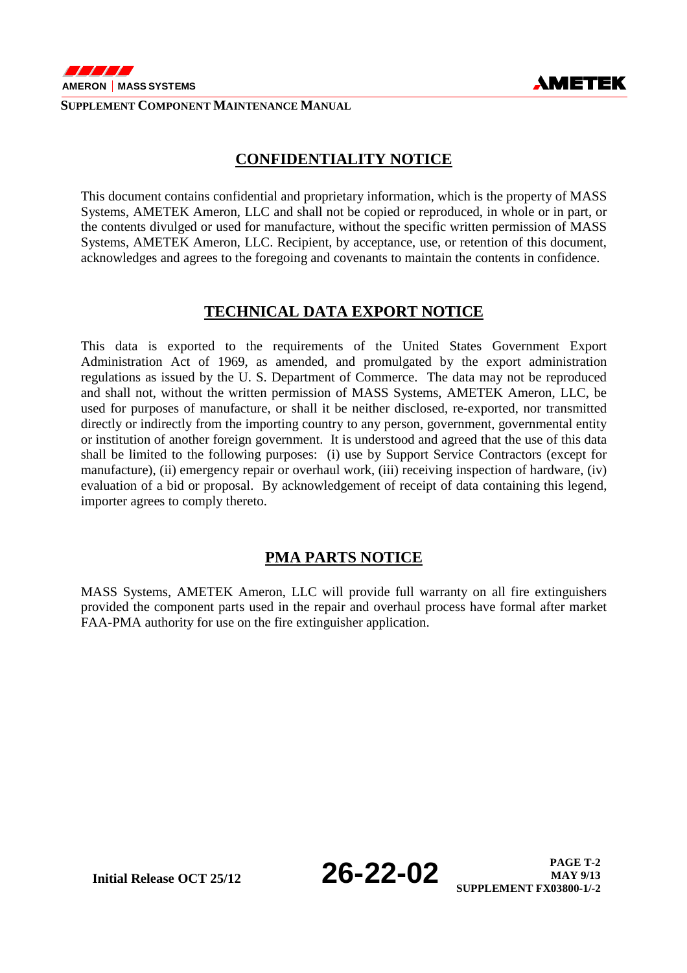

## **CONFIDENTIALITY NOTICE**

This document contains confidential and proprietary information, which is the property of MASS Systems, AMETEK Ameron, LLC and shall not be copied or reproduced, in whole or in part, or the contents divulged or used for manufacture, without the specific written permission of MASS Systems, AMETEK Ameron, LLC. Recipient, by acceptance, use, or retention of this document, acknowledges and agrees to the foregoing and covenants to maintain the contents in confidence.

### **TECHNICAL DATA EXPORT NOTICE**

This data is exported to the requirements of the United States Government Export Administration Act of 1969, as amended, and promulgated by the export administration regulations as issued by the U. S. Department of Commerce. The data may not be reproduced and shall not, without the written permission of MASS Systems, AMETEK Ameron, LLC, be used for purposes of manufacture, or shall it be neither disclosed, re-exported, nor transmitted directly or indirectly from the importing country to any person, government, governmental entity or institution of another foreign government. It is understood and agreed that the use of this data shall be limited to the following purposes: (i) use by Support Service Contractors (except for manufacture), (ii) emergency repair or overhaul work, (iii) receiving inspection of hardware, (iv) evaluation of a bid or proposal. By acknowledgement of receipt of data containing this legend, importer agrees to comply thereto.

## **PMA PARTS NOTICE**

MASS Systems, AMETEK Ameron, LLC will provide full warranty on all fire extinguishers provided the component parts used in the repair and overhaul process have formal after market FAA-PMA authority for use on the fire extinguisher application.

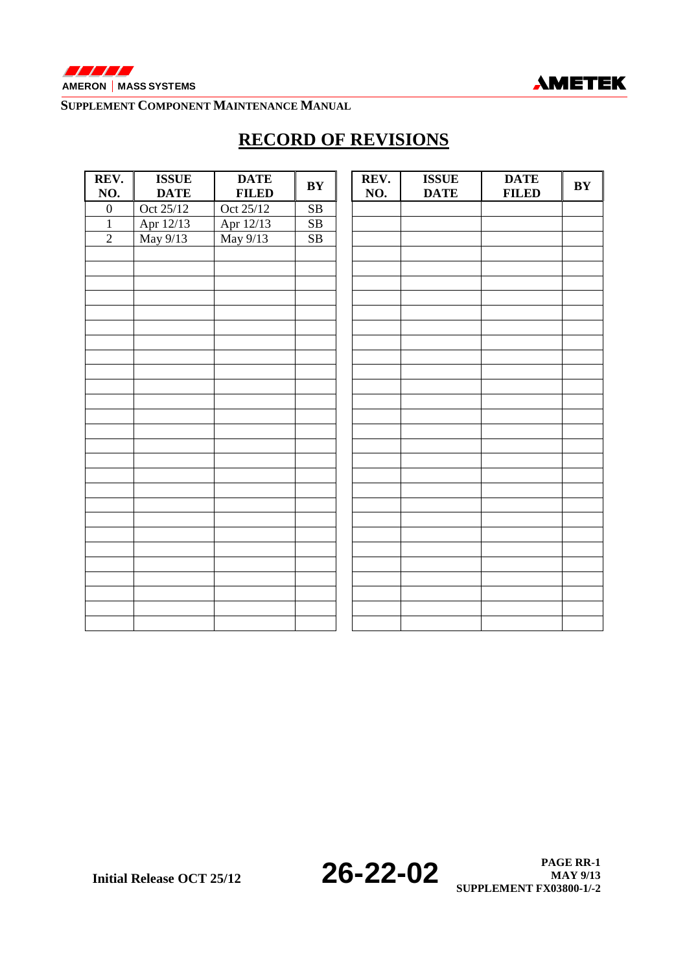



# **RECORD OF REVISIONS**

| REV.<br>NO.      | <b>ISSUE</b><br><b>DATE</b> | <b>DATE</b><br><b>FILED</b> | $\mathbf{B}\mathbf{Y}$ | REV.<br>NO. | <b>ISSUE</b><br><b>DATE</b> | <b>DATE</b><br><b>FILED</b> | $\mathbf{B}\mathbf{Y}$ |
|------------------|-----------------------------|-----------------------------|------------------------|-------------|-----------------------------|-----------------------------|------------------------|
|                  |                             |                             |                        |             |                             |                             |                        |
| $\boldsymbol{0}$ | Oct 25/12                   | Oct 25/12                   | ${\bf SB}$             |             |                             |                             |                        |
| $\mathbf 1$      | Apr 12/13<br>May 9/13       | Apr 12/13<br>May 9/13       | SB                     |             |                             |                             |                        |
| $\overline{2}$   |                             |                             | SB                     |             |                             |                             |                        |
|                  |                             |                             |                        |             |                             |                             |                        |
|                  |                             |                             |                        |             |                             |                             |                        |
|                  |                             |                             |                        |             |                             |                             |                        |
|                  |                             |                             |                        |             |                             |                             |                        |
|                  |                             |                             |                        |             |                             |                             |                        |
|                  |                             |                             |                        |             |                             |                             |                        |
|                  |                             |                             |                        |             |                             |                             |                        |
|                  |                             |                             |                        |             |                             |                             |                        |
|                  |                             |                             |                        |             |                             |                             |                        |
|                  |                             |                             |                        |             |                             |                             |                        |
|                  |                             |                             |                        |             |                             |                             |                        |
|                  |                             |                             |                        |             |                             |                             |                        |
|                  |                             |                             |                        |             |                             |                             |                        |
|                  |                             |                             |                        |             |                             |                             |                        |
|                  |                             |                             |                        |             |                             |                             |                        |
|                  |                             |                             |                        |             |                             |                             |                        |
|                  |                             |                             |                        |             |                             |                             |                        |
|                  |                             |                             |                        |             |                             |                             |                        |
|                  |                             |                             |                        |             |                             |                             |                        |
|                  |                             |                             |                        |             |                             |                             |                        |
|                  |                             |                             |                        |             |                             |                             |                        |
|                  |                             |                             |                        |             |                             |                             |                        |
|                  |                             |                             |                        |             |                             |                             |                        |
|                  |                             |                             |                        |             |                             |                             |                        |
|                  |                             |                             |                        |             |                             |                             |                        |
|                  |                             |                             |                        |             |                             |                             |                        |
|                  |                             |                             |                        |             |                             |                             |                        |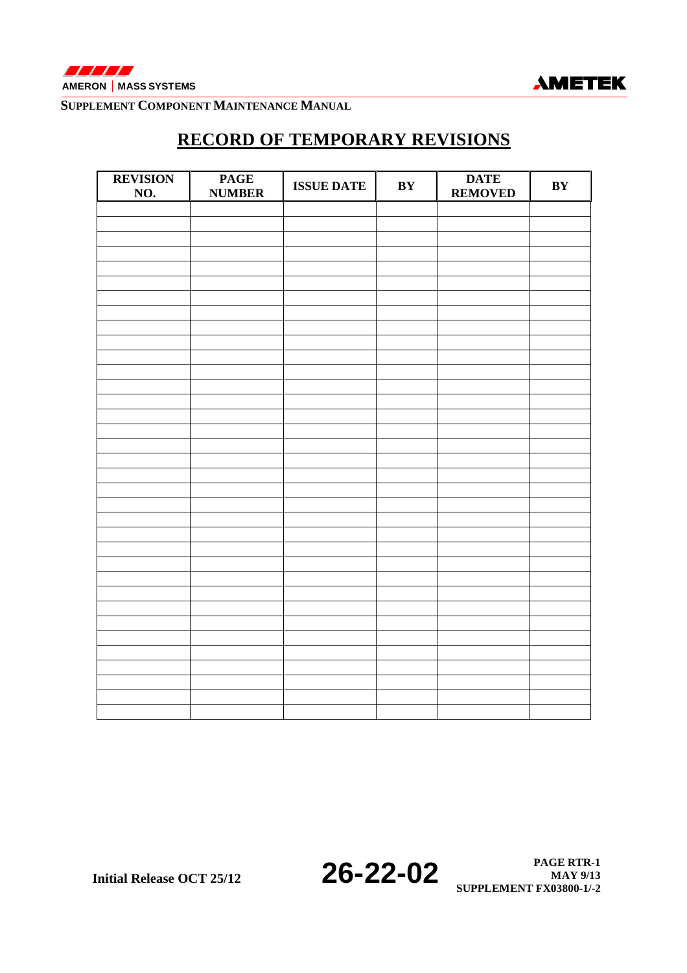

# **RECORD OF TEMPORARY REVISIONS**

| <b>REVISION</b><br>NO. | <b>PAGE</b><br><b>NUMBER</b> | <b>ISSUE DATE</b> | $\mathbf{B}\mathbf{Y}$ | <b>DATE</b><br><b>REMOVED</b> | $\mathbf{B}\mathbf{Y}$ |
|------------------------|------------------------------|-------------------|------------------------|-------------------------------|------------------------|
|                        |                              |                   |                        |                               |                        |
|                        |                              |                   |                        |                               |                        |
|                        |                              |                   |                        |                               |                        |
|                        |                              |                   |                        |                               |                        |
|                        |                              |                   |                        |                               |                        |
|                        |                              |                   |                        |                               |                        |
|                        |                              |                   |                        |                               |                        |
|                        |                              |                   |                        |                               |                        |
|                        |                              |                   |                        |                               |                        |
|                        |                              |                   |                        |                               |                        |
|                        |                              |                   |                        |                               |                        |
|                        |                              |                   |                        |                               |                        |
|                        |                              |                   |                        |                               |                        |
|                        |                              |                   |                        |                               |                        |
|                        |                              |                   |                        |                               |                        |
|                        |                              |                   |                        |                               |                        |
|                        |                              |                   |                        |                               |                        |
|                        |                              |                   |                        |                               |                        |
|                        |                              |                   |                        |                               |                        |
|                        |                              |                   |                        |                               |                        |
|                        |                              |                   |                        |                               |                        |
|                        |                              |                   |                        |                               |                        |
|                        |                              |                   |                        |                               |                        |
|                        |                              |                   |                        |                               |                        |
|                        |                              |                   |                        |                               |                        |
|                        |                              |                   |                        |                               |                        |
|                        |                              |                   |                        |                               |                        |
|                        |                              |                   |                        |                               |                        |
|                        |                              |                   |                        |                               |                        |
|                        |                              |                   |                        |                               |                        |
|                        |                              |                   |                        |                               |                        |
|                        |                              |                   |                        |                               |                        |
|                        |                              |                   |                        |                               |                        |
|                        |                              |                   |                        |                               |                        |
|                        |                              |                   |                        |                               |                        |
|                        |                              |                   |                        |                               |                        |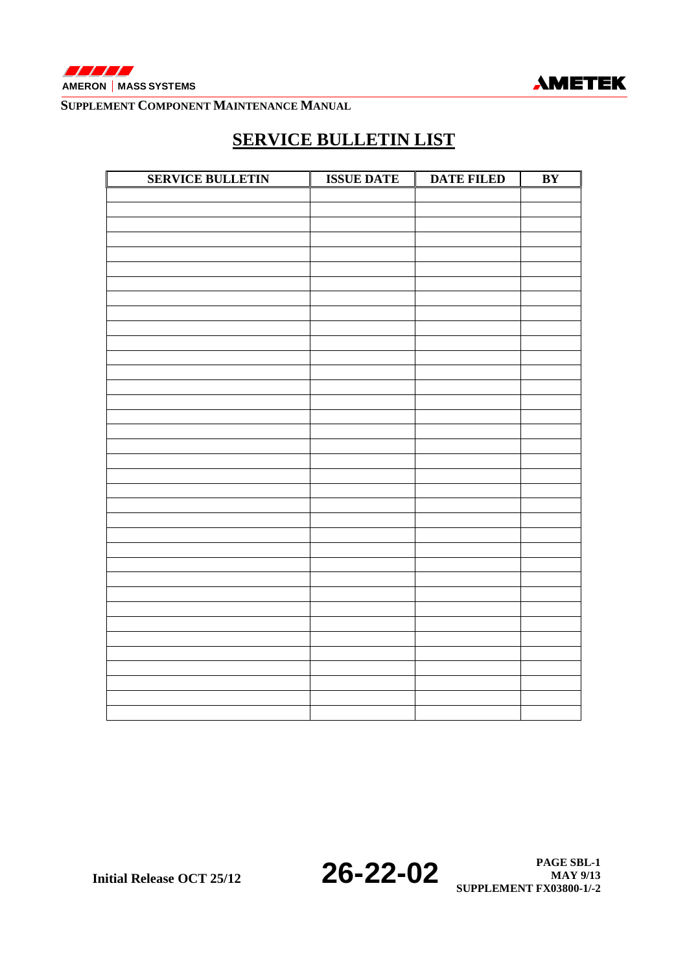



# **SERVICE BULLETIN LIST**

| <b>SERVICE BULLETIN</b> | <b>ISSUE DATE</b> | <b>DATE FILED</b><br>Ш | BY |
|-------------------------|-------------------|------------------------|----|
|                         |                   |                        |    |
|                         |                   |                        |    |
|                         |                   |                        |    |
|                         |                   |                        |    |
|                         |                   |                        |    |
|                         |                   |                        |    |
|                         |                   |                        |    |
|                         |                   |                        |    |
|                         |                   |                        |    |
|                         |                   |                        |    |
|                         |                   |                        |    |
|                         |                   |                        |    |
|                         |                   |                        |    |
|                         |                   |                        |    |
|                         |                   |                        |    |
|                         |                   |                        |    |
|                         |                   |                        |    |
|                         |                   |                        |    |
|                         |                   |                        |    |
|                         |                   |                        |    |
|                         |                   |                        |    |
|                         |                   |                        |    |
|                         |                   |                        |    |
|                         |                   |                        |    |
|                         |                   |                        |    |
|                         |                   |                        |    |
|                         |                   |                        |    |
|                         |                   |                        |    |
|                         |                   |                        |    |
|                         |                   |                        |    |
|                         |                   |                        |    |
|                         |                   |                        |    |
|                         |                   |                        |    |
|                         |                   |                        |    |
|                         |                   |                        |    |
|                         |                   |                        |    |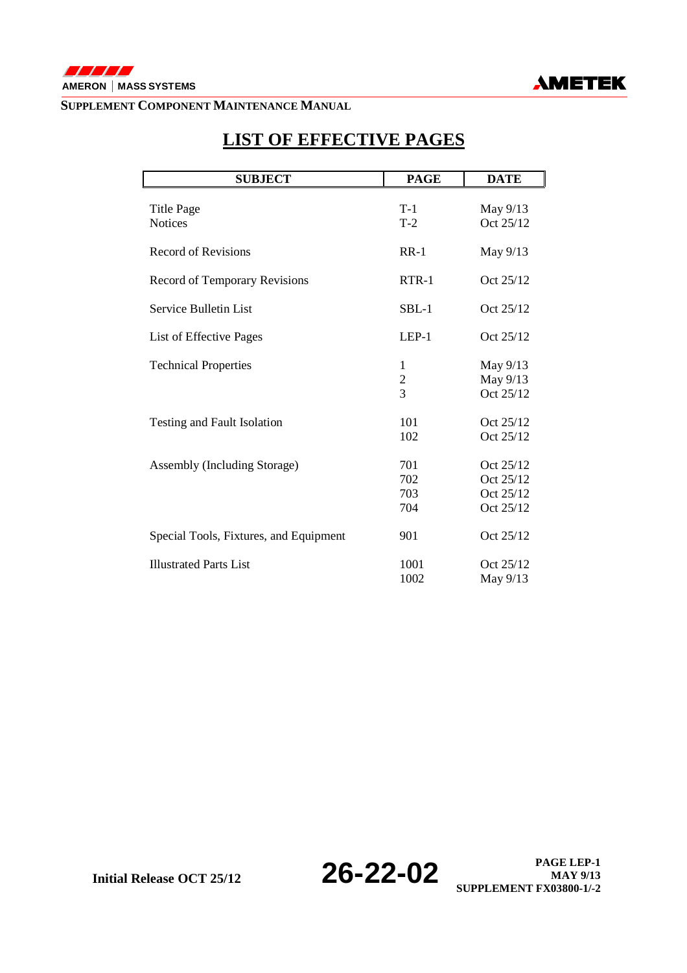



# **SUBJECT PAGE DATE**  Title Page T-1 May 9/13<br>Notices T-2 Oct 25/12 Oct  $25/12$ Record of Revisions RR-1 May 9/13 Record of Temporary Revisions RTR-1 Oct 25/12 Service Bulletin List SBL-1 Oct 25/12 List of Effective Pages LEP-1 Oct 25/12 Technical Properties 1 May 9/13 2 May 9/13<br>3 Oct 25/12 Oct 25/12 Testing and Fault Isolation 101 Oct 25/12 102 Oct 25/12 Assembly (Including Storage) 701 Oct 25/12 702 Oct 25/12 703 Oct 25/12 704 Oct 25/12 Special Tools, Fixtures, and Equipment 901 Oct 25/12 Illustrated Parts List 1001 Oct 25/12 1002 May 9/13

## **LIST OF EFFECTIVE PAGES**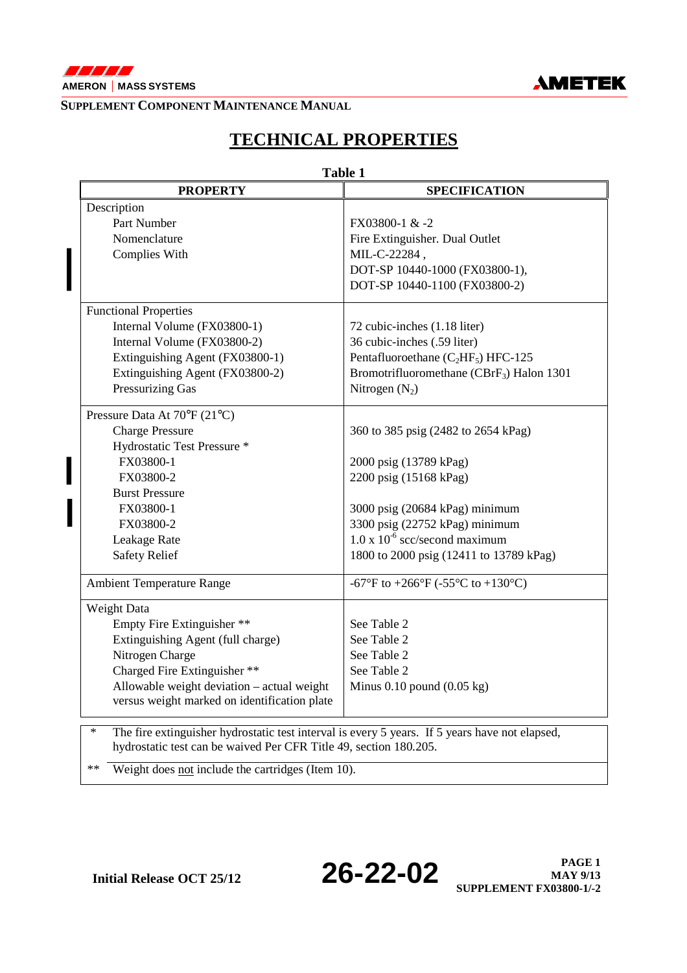

 $\begin{array}{c} \hline \end{array}$ 



### **SUPPLEMENT COMPONENT MAINTENANCE MANUAL**

# **TECHNICAL PROPERTIES**

|                                                                                                                                                                               | <b>Table 1</b>                                        |
|-------------------------------------------------------------------------------------------------------------------------------------------------------------------------------|-------------------------------------------------------|
| <b>PROPERTY</b>                                                                                                                                                               | <b>SPECIFICATION</b>                                  |
| Description                                                                                                                                                                   |                                                       |
| Part Number                                                                                                                                                                   | FX03800-1 & -2                                        |
| Nomenclature                                                                                                                                                                  | Fire Extinguisher. Dual Outlet                        |
| Complies With                                                                                                                                                                 | MIL-C-22284,                                          |
|                                                                                                                                                                               | DOT-SP 10440-1000 (FX03800-1),                        |
|                                                                                                                                                                               | DOT-SP 10440-1100 (FX03800-2)                         |
| <b>Functional Properties</b>                                                                                                                                                  |                                                       |
| Internal Volume (FX03800-1)                                                                                                                                                   | 72 cubic-inches (1.18 liter)                          |
| Internal Volume (FX03800-2)                                                                                                                                                   | 36 cubic-inches (.59 liter)                           |
| Extinguishing Agent (FX03800-1)                                                                                                                                               | Pentafluoroethane ( $C_2HF_5$ ) HFC-125               |
| Extinguishing Agent (FX03800-2)                                                                                                                                               | Bromotrifluoromethane (CBrF <sub>3</sub> ) Halon 1301 |
| Pressurizing Gas                                                                                                                                                              | Nitrogen $(N_2)$                                      |
| Pressure Data At 70°F (21°C)                                                                                                                                                  |                                                       |
| <b>Charge Pressure</b>                                                                                                                                                        | 360 to 385 psig (2482 to 2654 kPag)                   |
| Hydrostatic Test Pressure *                                                                                                                                                   |                                                       |
| FX03800-1                                                                                                                                                                     | 2000 psig (13789 kPag)                                |
| FX03800-2                                                                                                                                                                     | 2200 psig (15168 kPag)                                |
| <b>Burst Pressure</b>                                                                                                                                                         |                                                       |
| FX03800-1                                                                                                                                                                     | 3000 psig (20684 kPag) minimum                        |
| FX03800-2                                                                                                                                                                     | 3300 psig (22752 kPag) minimum                        |
| Leakage Rate                                                                                                                                                                  | $1.0 \times 10^{-6}$ scc/second maximum               |
| <b>Safety Relief</b>                                                                                                                                                          | 1800 to 2000 psig (12411 to 13789 kPag)               |
| <b>Ambient Temperature Range</b>                                                                                                                                              | -67°F to +266°F (-55°C to +130°C)                     |
| Weight Data                                                                                                                                                                   |                                                       |
| Empty Fire Extinguisher **                                                                                                                                                    | See Table 2                                           |
| Extinguishing Agent (full charge)                                                                                                                                             | See Table 2                                           |
| Nitrogen Charge                                                                                                                                                               | See Table 2                                           |
| Charged Fire Extinguisher **                                                                                                                                                  | See Table 2                                           |
| Allowable weight deviation - actual weight<br>versus weight marked on identification plate                                                                                    | Minus $0.10$ pound $(0.05 \text{ kg})$                |
| The fire extinguisher hydrostatic test interval is every 5 years. If 5 years have not elapsed,<br>$\ast$<br>hydrostatic test can be waived Per CFR Title 49, section 180.205. |                                                       |

\*\* Weight does not include the cartridges (Item 10).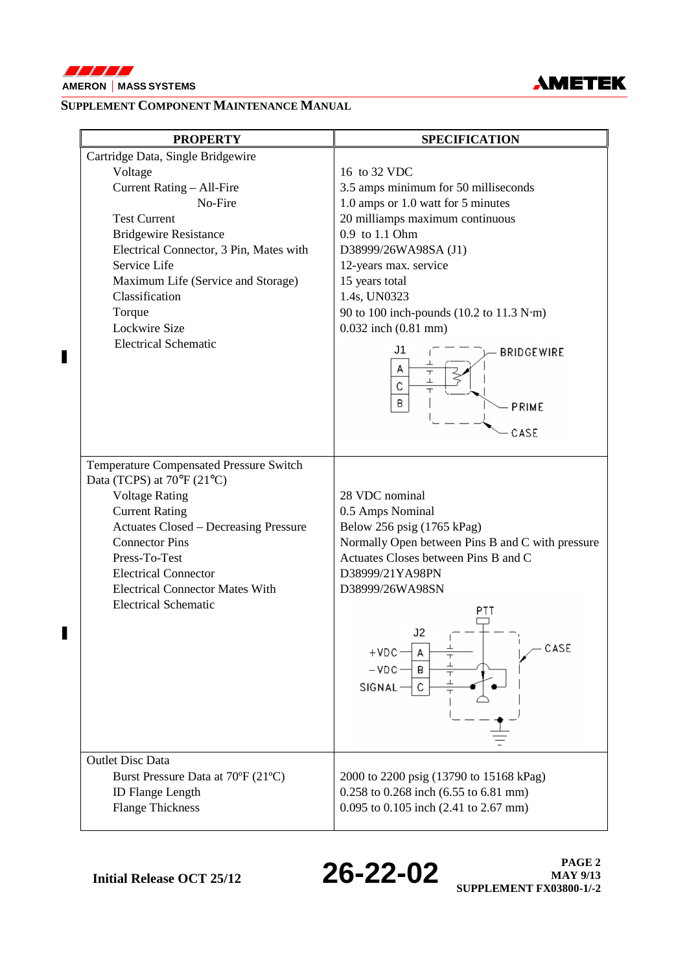

 $\blacksquare$ 

 $\blacksquare$ 



### **SUPPLEMENT COMPONENT MAINTENANCE MANUAL**

| <b>PROPERTY</b>                                                                                                                                                                                                                                                                                                                     | <b>SPECIFICATION</b>                                                                                                                                                                                                                                                                                                                                                                 |
|-------------------------------------------------------------------------------------------------------------------------------------------------------------------------------------------------------------------------------------------------------------------------------------------------------------------------------------|--------------------------------------------------------------------------------------------------------------------------------------------------------------------------------------------------------------------------------------------------------------------------------------------------------------------------------------------------------------------------------------|
| Cartridge Data, Single Bridgewire<br>Voltage<br>Current Rating - All-Fire<br>No-Fire<br><b>Test Current</b><br><b>Bridgewire Resistance</b><br>Electrical Connector, 3 Pin, Mates with<br>Service Life<br>Maximum Life (Service and Storage)<br>Classification<br>Torque<br>Lockwire Size<br><b>Electrical Schematic</b>            | 16 to 32 VDC<br>3.5 amps minimum for 50 milliseconds<br>1.0 amps or 1.0 watt for 5 minutes<br>20 milliamps maximum continuous<br>0.9 to 1.1 Ohm<br>D38999/26WA98SA (J1)<br>12-years max. service<br>15 years total<br>1.4s, UN0323<br>90 to 100 inch-pounds (10.2 to 11.3 N·m)<br>$0.032$ inch $(0.81$ mm)<br>J1<br><b>BRIDGEWIRE</b><br>А<br>⊥<br>C<br>$\top$<br>B<br>PRIME<br>CASE |
| Temperature Compensated Pressure Switch<br>Data (TCPS) at $70^{\circ}$ F (21°C)<br><b>Voltage Rating</b><br><b>Current Rating</b><br><b>Actuates Closed – Decreasing Pressure</b><br><b>Connector Pins</b><br>Press-To-Test<br><b>Electrical Connector</b><br><b>Electrical Connector Mates With</b><br><b>Electrical Schematic</b> | 28 VDC nominal<br>0.5 Amps Nominal<br>Below 256 psig (1765 kPag)<br>Normally Open between Pins B and C with pressure<br>Actuates Closes between Pins B and C<br>D38999/21YA98PN<br>D38999/26WA98SN<br>PTT<br>J2<br>CASE<br>┷<br>$+VDC$<br>А<br>$\overline{\mathbf{r}}$<br>⊥<br>$-$ VDC $-$<br>В<br>$\top$<br>ᅩ<br>C<br>SIGNAL-                                                       |
| <b>Outlet Disc Data</b><br>Burst Pressure Data at 70°F (21°C)<br><b>ID Flange Length</b><br><b>Flange Thickness</b>                                                                                                                                                                                                                 | 2000 to 2200 psig (13790 to 15168 kPag)<br>0.258 to 0.268 inch (6.55 to 6.81 mm)<br>0.095 to 0.105 inch (2.41 to 2.67 mm)                                                                                                                                                                                                                                                            |

**Initial Release OCT 25/12 26-22-02 PAGE 2 PAGE 2 MAY 9/13 SUPPLEMENT FX03800-1/-2**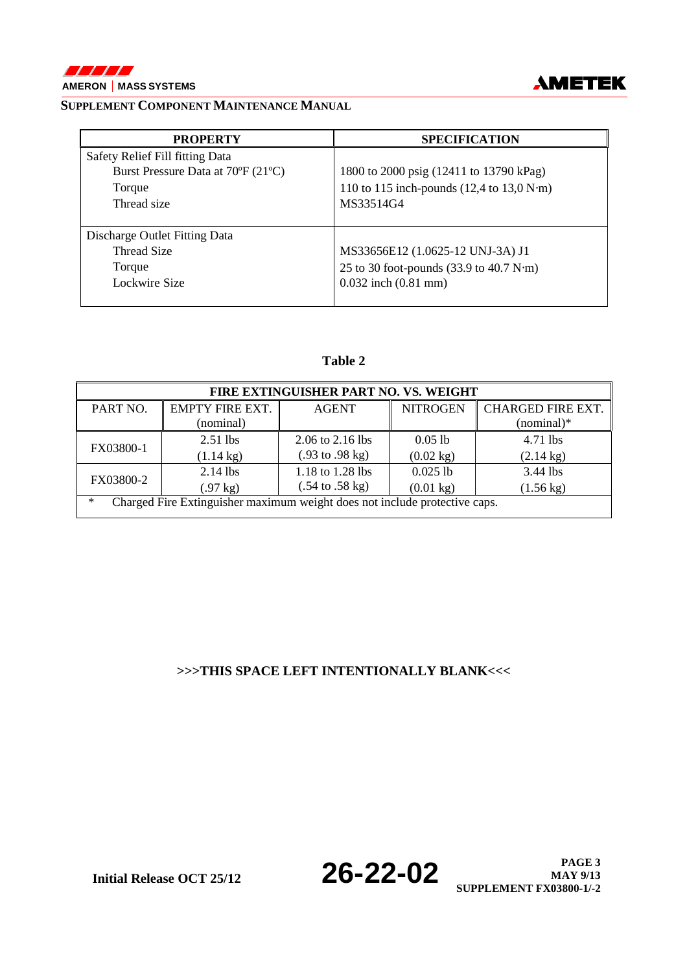



**MAY 9/13** 

**SUPPLEMENT FX03800-1/-2** 

### **SUPPLEMENT COMPONENT MAINTENANCE MANUAL**

| <b>PROPERTY</b>                    | <b>SPECIFICATION</b>                                                    |
|------------------------------------|-------------------------------------------------------------------------|
| Safety Relief Fill fitting Data    |                                                                         |
| Burst Pressure Data at 70°F (21°C) | 1800 to 2000 psig (12411 to 13790 kPag)                                 |
| Torque                             | 110 to 115 inch-pounds $(12,4 \text{ to } 13,0 \text{ N}\cdot\text{m})$ |
| Thread size                        | MS33514G4                                                               |
|                                    |                                                                         |
| Discharge Outlet Fitting Data      |                                                                         |
| Thread Size                        | MS33656E12 (1.0625-12 UNJ-3A) J1                                        |
| Torque                             | 25 to 30 foot-pounds $(33.9 \text{ to } 40.7 \text{ N}\cdot\text{m})$   |
| Lockwire Size                      | $0.032$ inch $(0.81$ mm)                                                |
|                                    |                                                                         |

### **Table 2**

| FIRE EXTINGUISHER PART NO. VS. WEIGHT                                                |                     |                                    |                     |                          |  |  |  |
|--------------------------------------------------------------------------------------|---------------------|------------------------------------|---------------------|--------------------------|--|--|--|
| PART NO.                                                                             | EMPTY FIRE EXT.     | <b>AGENT</b>                       | <b>NITROGEN</b>     | <b>CHARGED FIRE EXT.</b> |  |  |  |
|                                                                                      | (nominal)           |                                    |                     | $(nominal)*$             |  |  |  |
| FX03800-1                                                                            | $2.51$ lbs          | $2.06$ to $2.16$ lbs               | $0.05$ lb           | 4.71 lbs                 |  |  |  |
|                                                                                      | $(1.14 \text{ kg})$ | $(.93 \text{ to } .98 \text{ kg})$ | $(0.02 \text{ kg})$ | $(2.14 \text{ kg})$      |  |  |  |
| FX03800-2                                                                            | $2.14$ lbs          | 1.18 to 1.28 lbs                   | $0.025$ lb          | 3.44 lbs                 |  |  |  |
|                                                                                      | $(.97 \text{ kg})$  | $(.54 \text{ to } .58 \text{ kg})$ | $(0.01 \text{ kg})$ | $(1.56 \text{ kg})$      |  |  |  |
| Charged Fire Extinguisher maximum weight does not include protective caps.<br>$\ast$ |                     |                                    |                     |                          |  |  |  |

### **>>>THIS SPACE LEFT INTENTIONALLY BLANK<<<**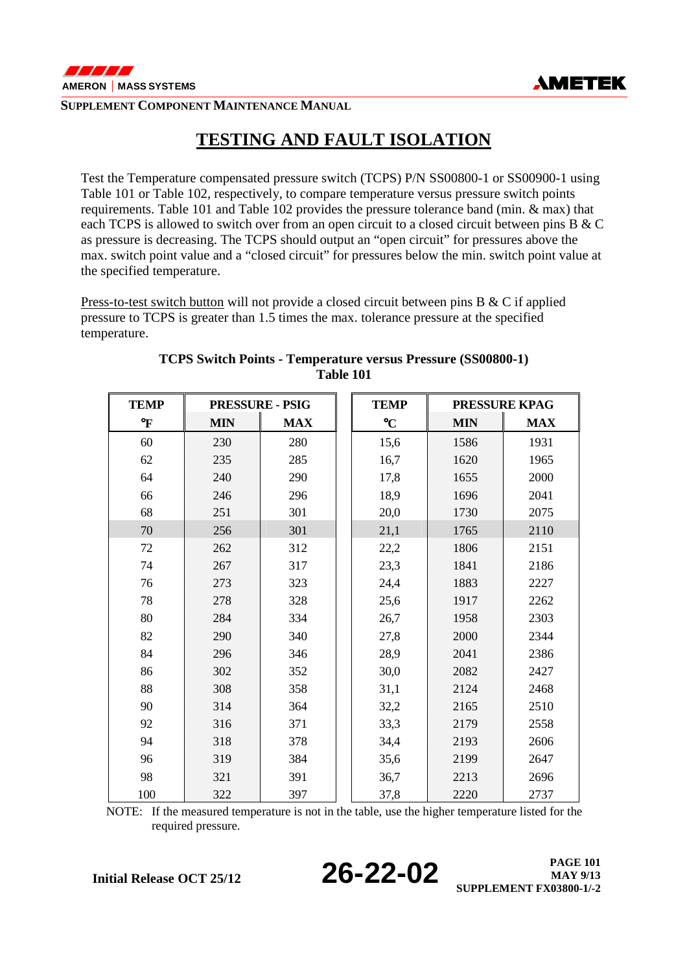

## **TESTING AND FAULT ISOLATION**

Test the Temperature compensated pressure switch (TCPS) P/N SS00800-1 or SS00900-1 using Table 101 or Table 102, respectively, to compare temperature versus pressure switch points requirements. Table 101 and Table 102 provides the pressure tolerance band (min. & max) that each TCPS is allowed to switch over from an open circuit to a closed circuit between pins B & C as pressure is decreasing. The TCPS should output an "open circuit" for pressures above the max. switch point value and a "closed circuit" for pressures below the min. switch point value at the specified temperature.

Press-to-test switch button will not provide a closed circuit between pins B & C if applied pressure to TCPS is greater than 1.5 times the max. tolerance pressure at the specified temperature.

| <b>TEMP</b>  | <b>PRESSURE - PSIG</b> |            | <b>TEMP</b>     |            | <b>PRESSURE KPAG</b> |
|--------------|------------------------|------------|-----------------|------------|----------------------|
| $\mathbf{P}$ | <b>MIN</b>             | <b>MAX</b> | $\rm ^{\circ}C$ | <b>MIN</b> | <b>MAX</b>           |
| 60           | 230                    | 280        | 15,6            | 1586       | 1931                 |
| 62           | 235                    | 285        | 16,7            | 1620       | 1965                 |
| 64           | 240                    | 290        | 17,8            | 1655       | 2000                 |
| 66           | 246                    | 296        | 18,9            | 1696       | 2041                 |
| 68           | 251                    | 301        | 20,0            | 1730       | 2075                 |
| 70           | 256                    | 301        | 21,1            | 1765       | 2110                 |
| 72           | 262                    | 312        | 22,2            | 1806       | 2151                 |
| 74           | 267                    | 317        | 23,3            | 1841       | 2186                 |
| 76           | 273                    | 323        | 24,4            | 1883       | 2227                 |
| 78           | 278                    | 328        | 25,6            | 1917       | 2262                 |
| 80           | 284                    | 334        | 26,7            | 1958       | 2303                 |
| 82           | 290                    | 340        | 27,8            | 2000       | 2344                 |
| 84           | 296                    | 346        | 28,9            | 2041       | 2386                 |
| 86           | 302                    | 352        | 30,0            | 2082       | 2427                 |
| 88           | 308                    | 358        | 31,1            | 2124       | 2468                 |
| 90           | 314                    | 364        | 32,2            | 2165       | 2510                 |
| 92           | 316                    | 371        | 33,3            | 2179       | 2558                 |
| 94           | 318                    | 378        | 34,4            | 2193       | 2606                 |
| 96           | 319                    | 384        | 35,6            | 2199       | 2647                 |
| 98           | 321                    | 391        | 36,7            | 2213       | 2696                 |
| 100          | 322                    | 397        | 37,8            | 2220       | 2737                 |

### **TCPS Switch Points - Temperature versus Pressure (SS00800-1) Table 101**

NOTE: If the measured temperature is not in the table, use the higher temperature listed for the required pressure.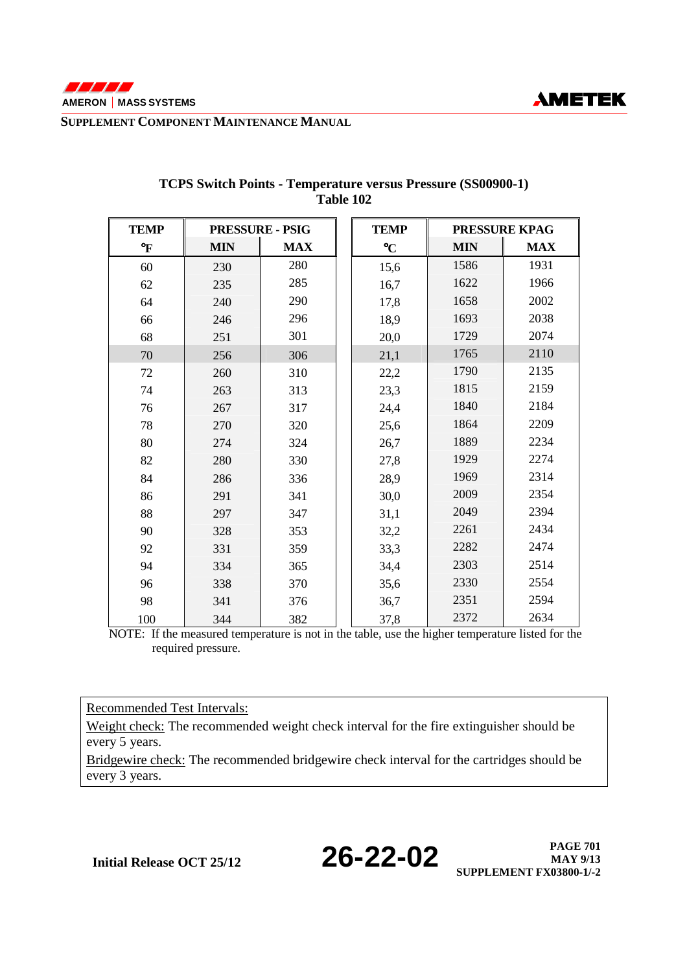

| <b>TEMP</b> | <b>PRESSURE - PSIG</b> |            | <b>TEMP</b>     | <b>PRESSURE KPAG</b> |            |
|-------------|------------------------|------------|-----------------|----------------------|------------|
| °F          | <b>MIN</b>             | <b>MAX</b> | $\rm ^{\circ}C$ | <b>MIN</b>           | <b>MAX</b> |
| 60          | 230                    | 280        | 15,6            | 1586                 | 1931       |
| 62          | 235                    | 285        | 16,7            | 1622                 | 1966       |
| 64          | 240                    | 290        | 17,8            | 1658                 | 2002       |
| 66          | 246                    | 296        | 18,9            | 1693                 | 2038       |
| 68          | 251                    | 301        | 20,0            | 1729                 | 2074       |
| 70          | 256                    | 306        | 21,1            | 1765                 | 2110       |
| 72          | 260                    | 310        | 22,2            | 1790                 | 2135       |
| 74          | 263                    | 313        | 23,3            | 1815                 | 2159       |
| 76          | 267                    | 317        | 24,4            | 1840                 | 2184       |
| 78          | 270                    | 320        | 25,6            | 1864                 | 2209       |
| 80          | 274                    | 324        | 26,7            | 1889                 | 2234       |
| 82          | 280                    | 330        | 27,8            | 1929                 | 2274       |
| 84          | 286                    | 336        | 28,9            | 1969                 | 2314       |
| 86          | 291                    | 341        | 30,0            | 2009                 | 2354       |
| 88          | 297                    | 347        | 31,1            | 2049                 | 2394       |
| 90          | 328                    | 353        | 32,2            | 2261                 | 2434       |
| 92          | 331                    | 359        | 33,3            | 2282                 | 2474       |
| 94          | 334                    | 365        | 34,4            | 2303                 | 2514       |
| 96          | 338                    | 370        | 35,6            | 2330                 | 2554       |
| 98          | 341                    | 376        | 36,7            | 2351                 | 2594       |
| 100         | 344                    | 382        | 37,8            | 2372                 | 2634       |

#### **TCPS Switch Points - Temperature versus Pressure (SS00900-1) Table 102**

 NOTE: If the measured temperature is not in the table, use the higher temperature listed for the required pressure.

Recommended Test Intervals:

Weight check: The recommended weight check interval for the fire extinguisher should be every 5 years.

Bridgewire check: The recommended bridgewire check interval for the cartridges should be every 3 years.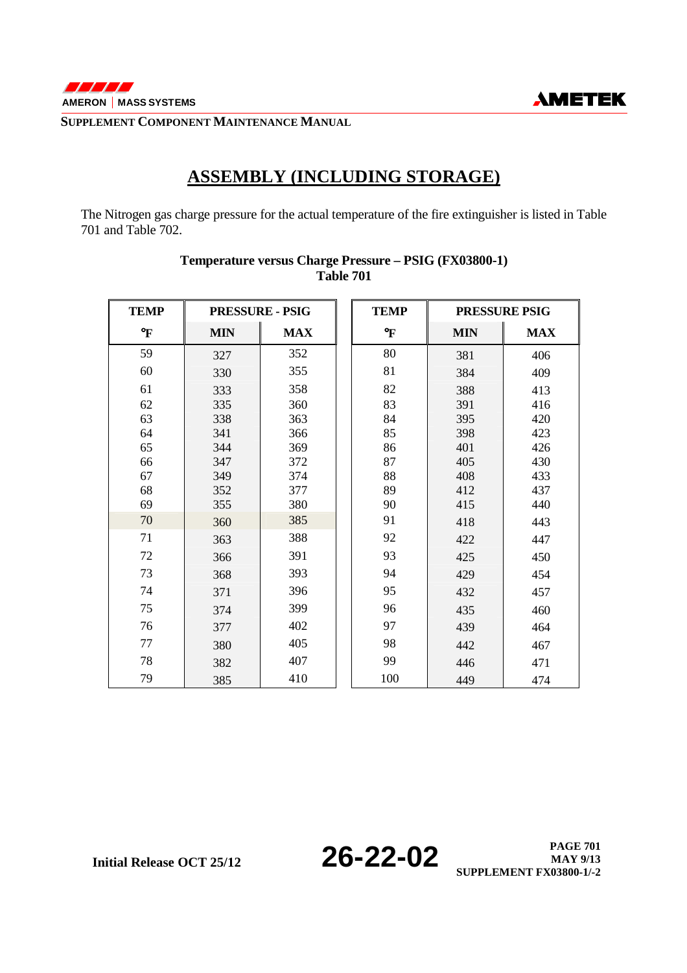

## **ASSEMBLY (INCLUDING STORAGE)**

The Nitrogen gas charge pressure for the actual temperature of the fire extinguisher is listed in Table 701 and Table 702.

| <b>TEMP</b>  | <b>PRESSURE - PSIG</b> |            | <b>TEMP</b>  |            | PRESSURE PSIG |
|--------------|------------------------|------------|--------------|------------|---------------|
| $\mathbf{P}$ | <b>MIN</b>             | <b>MAX</b> | $\mathbf{P}$ | <b>MIN</b> | <b>MAX</b>    |
| 59           | 327                    | 352        | 80           | 381        | 406           |
| 60           | 330                    | 355        | 81           | 384        | 409           |
| 61           | 333                    | 358        | 82           | 388        | 413           |
| 62           | 335                    | 360        | 83           | 391        | 416           |
| 63           | 338                    | 363        | 84           | 395        | 420           |
| 64           | 341                    | 366        | 85           | 398        | 423           |
| 65           | 344                    | 369        | 86           | 401        | 426           |
| 66           | 347                    | 372        | 87           | 405        | 430           |
| 67           | 349                    | 374        | 88           | 408        | 433           |
| 68           | 352                    | 377        | 89           | 412        | 437           |
| 69           | 355                    | 380        | 90           | 415        | 440           |
| 70           | 360                    | 385        | 91           | 418        | 443           |
| 71           | 363                    | 388        | 92           | 422        | 447           |
| 72           | 366                    | 391        | 93           | 425        | 450           |
| 73           | 368                    | 393        | 94           | 429        | 454           |
| 74           | 371                    | 396        | 95           | 432        | 457           |
| 75           | 374                    | 399        | 96           | 435        | 460           |
| 76           | 377                    | 402        | 97           | 439        | 464           |
| 77           | 380                    | 405        | 98           | 442        | 467           |
| 78           | 382                    | 407        | 99           | 446        | 471           |
| 79           | 385                    | 410        | 100          | 449        | 474           |

### **Temperature versus Charge Pressure – PSIG (FX03800-1) Table 701**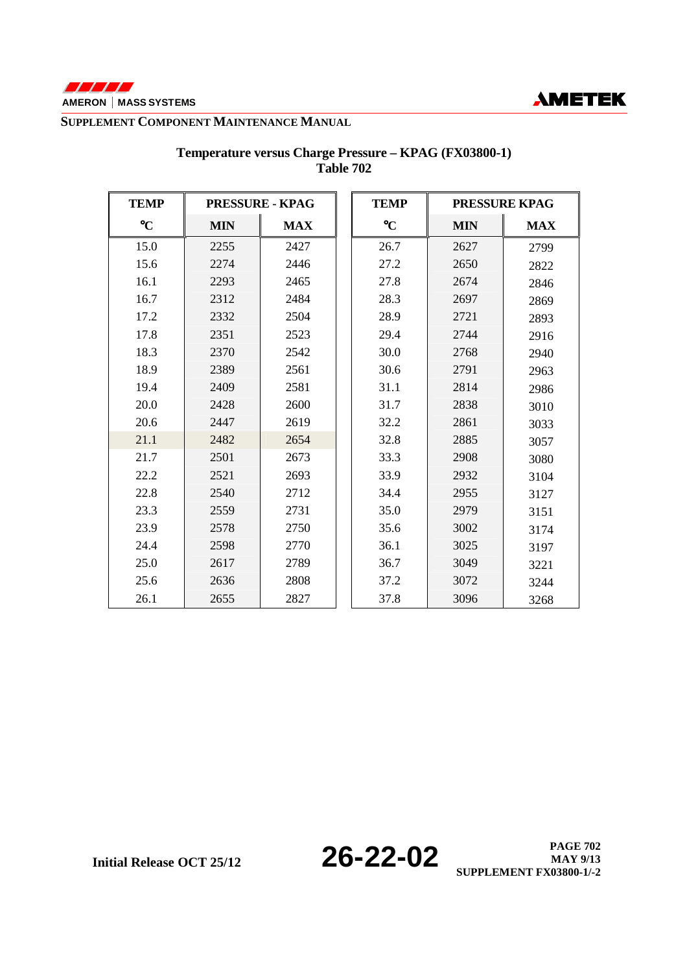



| <b>TEMP</b>     | <b>PRESSURE - KPAG</b> |            | <b>TEMP</b>     |            | <b>PRESSURE KPAG</b> |
|-----------------|------------------------|------------|-----------------|------------|----------------------|
| $\rm ^{\circ}C$ | <b>MIN</b>             | <b>MAX</b> | $\rm ^{\circ}C$ | <b>MIN</b> | <b>MAX</b>           |
| 15.0            | 2255                   | 2427       | 26.7            | 2627       | 2799                 |
| 15.6            | 2274                   | 2446       | 27.2            | 2650       | 2822                 |
| 16.1            | 2293                   | 2465       | 27.8            | 2674       | 2846                 |
| 16.7            | 2312                   | 2484       | 28.3            | 2697       | 2869                 |
| 17.2            | 2332                   | 2504       | 28.9            | 2721       | 2893                 |
| 17.8            | 2351                   | 2523       | 29.4            | 2744       | 2916                 |
| 18.3            | 2370                   | 2542       | 30.0            | 2768       | 2940                 |
| 18.9            | 2389                   | 2561       | 30.6            | 2791       | 2963                 |
| 19.4            | 2409                   | 2581       | 31.1            | 2814       | 2986                 |
| 20.0            | 2428                   | 2600       | 31.7            | 2838       | 3010                 |
| 20.6            | 2447                   | 2619       | 32.2            | 2861       | 3033                 |
| 21.1            | 2482                   | 2654       | 32.8            | 2885       | 3057                 |
| 21.7            | 2501                   | 2673       | 33.3            | 2908       | 3080                 |
| 22.2            | 2521                   | 2693       | 33.9            | 2932       | 3104                 |
| 22.8            | 2540                   | 2712       | 34.4            | 2955       | 3127                 |
| 23.3            | 2559                   | 2731       | 35.0            | 2979       | 3151                 |
| 23.9            | 2578                   | 2750       | 35.6            | 3002       | 3174                 |
| 24.4            | 2598                   | 2770       | 36.1            | 3025       | 3197                 |
| 25.0            | 2617                   | 2789       | 36.7            | 3049       | 3221                 |
| 25.6            | 2636                   | 2808       | 37.2            | 3072       | 3244                 |
| 26.1            | 2655                   | 2827       | 37.8            | 3096       | 3268                 |

### **Temperature versus Charge Pressure – KPAG (FX03800-1) Table 702**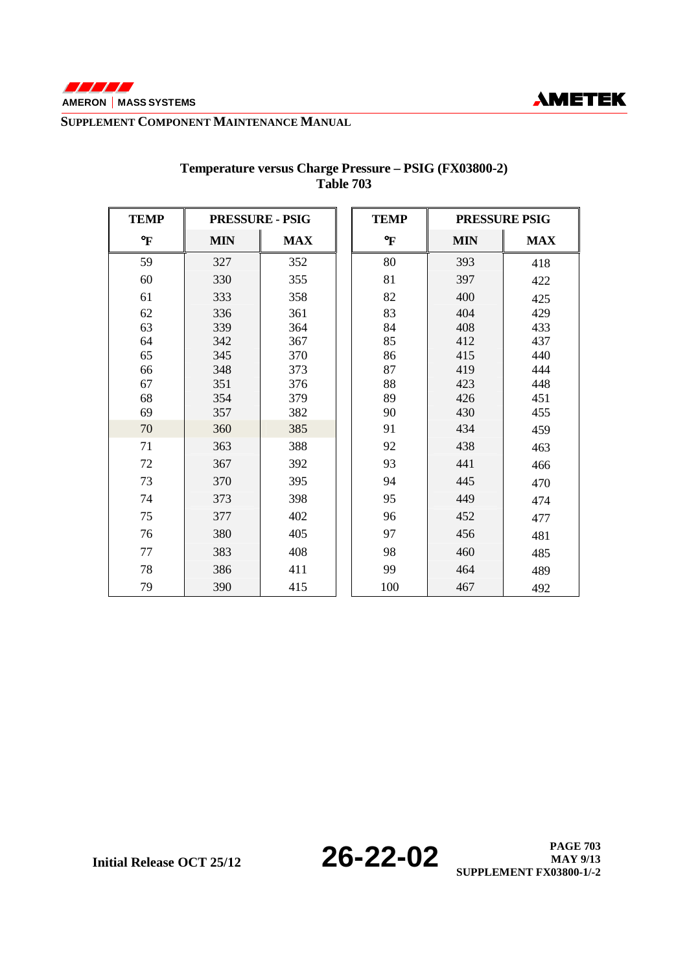



| <b>TEMP</b>                                         | <b>PRESSURE - PSIG</b> |                                        |     | <b>TEMP</b> |            | <b>PRESSURE PSIG</b> |  |
|-----------------------------------------------------|------------------------|----------------------------------------|-----|-------------|------------|----------------------|--|
| $\boldsymbol{\mathrm{o}}_{\boldsymbol{\mathrm{F}}}$ | <b>MIN</b>             | <b>MAX</b>                             |     | °F          | <b>MIN</b> | <b>MAX</b>           |  |
| 59                                                  | 327                    | 352                                    |     | 80          | 393        | 418                  |  |
| 60                                                  | 330                    | 355<br>358                             |     | 81          | 397        | 422                  |  |
| 61                                                  | 333                    |                                        |     | 82          | 400        | 425                  |  |
| 62                                                  | 336                    | 361                                    | 364 |             | 404        | 429                  |  |
| 63                                                  | 339                    |                                        |     |             | 408        | 433                  |  |
| 64                                                  | 342                    | 367<br>370<br>373<br>376<br>379<br>382 |     | 85          | 412        | 437                  |  |
| 65                                                  | 345                    |                                        |     | 86          | 415        | 440                  |  |
| 66                                                  | 348                    |                                        |     | 87          | 419        | 444                  |  |
| 67                                                  | 351                    |                                        |     | 88          | 423        | 448                  |  |
| 68                                                  | 354                    |                                        |     | 89          | 426        | 451                  |  |
| 69                                                  | 357                    |                                        |     | 90          | 430        | 455                  |  |
| 70                                                  | 360                    | 385                                    |     | 91          | 434        | 459                  |  |
| 71                                                  | 363                    | 388                                    |     | 92          | 438        | 463                  |  |
| 72                                                  | 367                    | 392                                    |     |             | 441        | 466                  |  |
| 73                                                  | 370                    | 395                                    |     | 94          | 445        | 470                  |  |
| 74                                                  | 373                    | 398                                    |     |             | 449        | 474                  |  |
| 75                                                  | 377                    | 402                                    |     | 96          | 452        | 477                  |  |
| 76                                                  | 380                    | 405                                    |     | 97          | 456        | 481                  |  |
| 77                                                  | 383                    | 408                                    |     | 98          | 460        | 485                  |  |
| 78                                                  | 386                    | 411                                    |     | 99          | 464        | 489                  |  |
| 79                                                  | 390                    | 415                                    |     | 100         | 467        | 492                  |  |

### **Temperature versus Charge Pressure – PSIG (FX03800-2) Table 703**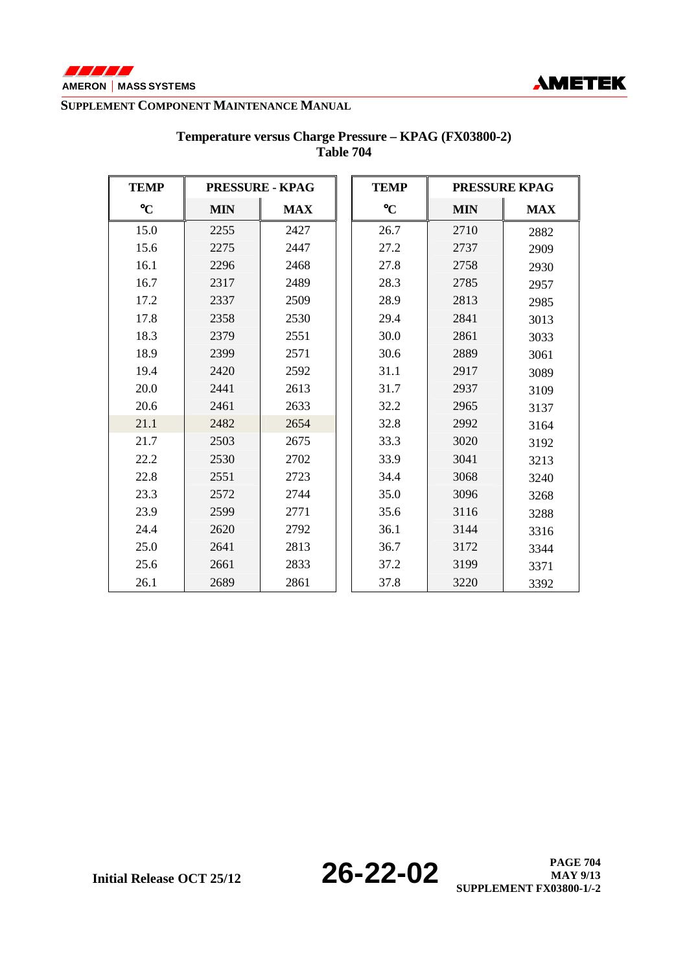



| <b>TEMP</b>     | <b>PRESSURE - KPAG</b> |              |      | <b>TEMP</b> | <b>PRESSURE KPAG</b> |                 |            |            |
|-----------------|------------------------|--------------|------|-------------|----------------------|-----------------|------------|------------|
| $\rm ^{\circ}C$ | <b>MIN</b>             | <b>MAX</b>   |      |             |                      | $\rm ^{\circ}C$ | <b>MIN</b> | <b>MAX</b> |
| 15.0            | 2255                   | 2427         |      | 26.7        | 2710                 | 2882            |            |            |
| 15.6            | 2275                   | 2447         |      | 27.2        | 2737                 | 2909            |            |            |
| 16.1            | 2296                   | 2468         |      |             | 2758                 | 2930            |            |            |
| 16.7            | 2317                   | 2489         |      | 28.3        | 2785                 | 2957            |            |            |
| 17.2            | 2337                   | 2509         |      | 28.9        | 2813                 | 2985            |            |            |
| 17.8            | 2358                   | 2530         |      |             | 2841                 | 3013            |            |            |
| 18.3            | 2379                   | 2551<br>2571 |      | 30.0        | 2861                 | 3033            |            |            |
| 18.9            | 2399                   |              |      | 30.6        | 2889                 | 3061            |            |            |
| 19.4            | 2420                   | 2592<br>2613 | 31.1 | 2917        | 3089                 |                 |            |            |
| 20.0            | 2441                   |              | 31.7 | 2937        | 3109                 |                 |            |            |
| 20.6            | 2461                   | 2633         |      | 32.2        | 2965                 | 3137            |            |            |
| 21.1            | 2482                   | 2654         |      | 32.8        | 2992                 | 3164            |            |            |
| 21.7            | 2503                   | 2675         |      | 33.3        | 3020                 | 3192            |            |            |
| 22.2            | 2530                   | 2702         |      | 33.9        | 3041                 | 3213            |            |            |
| 22.8            | 2551                   | 2723         |      | 34.4        | 3068                 | 3240            |            |            |
| 23.3            | 2572                   | 2744         |      | 35.0        | 3096                 | 3268            |            |            |
| 23.9            | 2599                   | 2771         |      | 35.6        | 3116                 | 3288            |            |            |
| 24.4            | 2620                   | 2792         |      | 36.1        | 3144                 | 3316            |            |            |
| 25.0            | 2641                   | 2813         |      | 36.7        | 3172                 | 3344            |            |            |
| 25.6            | 2661                   | 2833         |      | 37.2        | 3199                 | 3371            |            |            |
| 26.1            | 2689                   | 2861         |      | 37.8        | 3220                 | 3392            |            |            |

### **Temperature versus Charge Pressure – KPAG (FX03800-2) Table 704**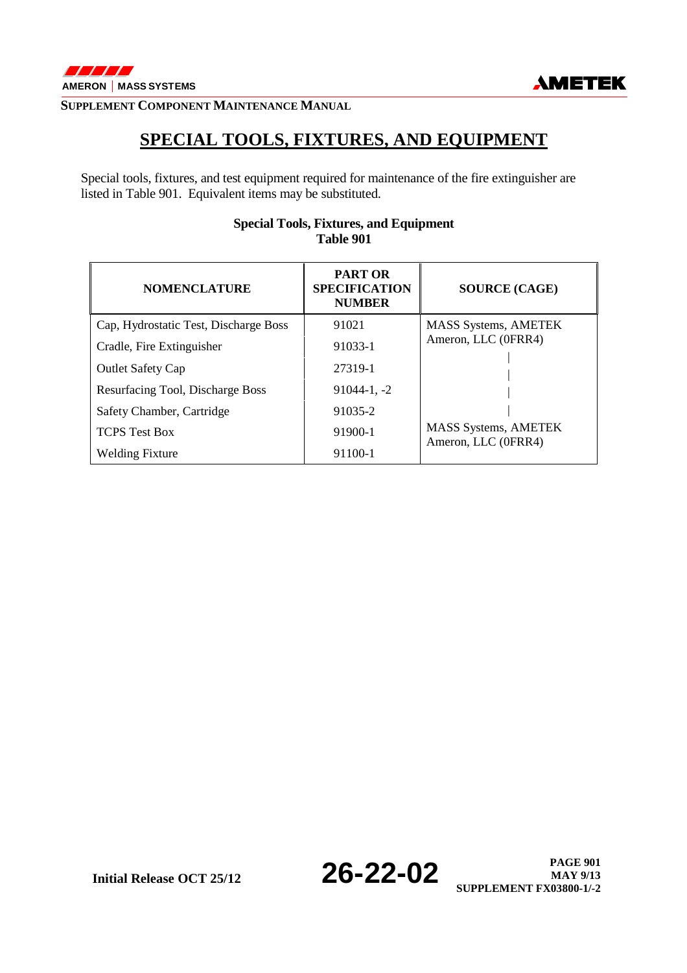

## **SPECIAL TOOLS, FIXTURES, AND EQUIPMENT**

Special tools, fixtures, and test equipment required for maintenance of the fire extinguisher are listed in Table 901. Equivalent items may be substituted.

| <b>NOMENCLATURE</b>                   | <b>PART OR</b><br><b>SPECIFICATION</b><br><b>NUMBER</b> | <b>SOURCE (CAGE)</b>                               |
|---------------------------------------|---------------------------------------------------------|----------------------------------------------------|
| Cap, Hydrostatic Test, Discharge Boss | 91021                                                   | <b>MASS Systems, AMETEK</b>                        |
| Cradle, Fire Extinguisher             | 91033-1                                                 | Ameron, LLC (0FRR4)                                |
| <b>Outlet Safety Cap</b>              | 27319-1                                                 |                                                    |
| Resurfacing Tool, Discharge Boss      | $91044 - 1, -2$                                         |                                                    |
| Safety Chamber, Cartridge             | 91035-2                                                 |                                                    |
| <b>TCPS</b> Test Box                  | 91900-1                                                 | <b>MASS Systems, AMETEK</b><br>Ameron, LLC (0FRR4) |
| <b>Welding Fixture</b>                | 91100-1                                                 |                                                    |

### **Special Tools, Fixtures, and Equipment Table 901**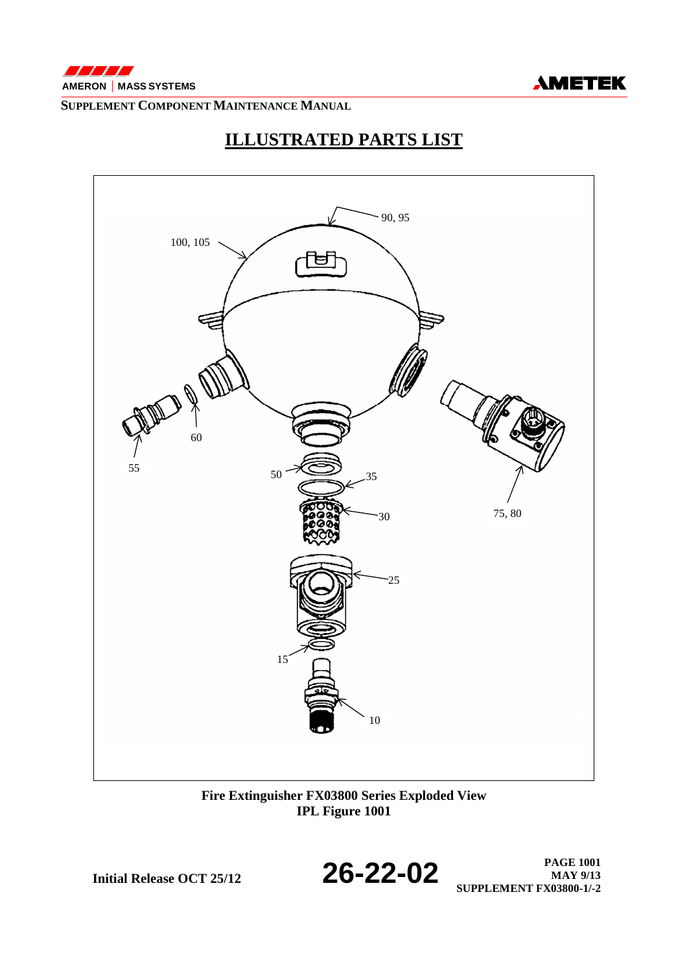



## **ILLUSTRATED PARTS LIST**



**Fire Extinguisher FX03800 Series Exploded View IPL Figure 1001** 



**Initial Release OCT 25/12 26-22-02 PAGE 1001 PAGE 1001 MAY 9/13 SUPPLEMENT FX03800-1/-2**